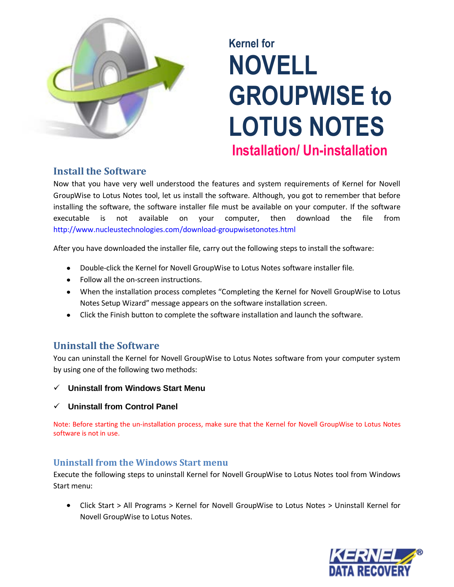

# **Kernel for NOVELL GROUPWISE to LOTUS NOTES Installation/ Un-installation**

## **Install the Software**

Now that you have very well understood the features and system requirements of Kernel for Novell GroupWise to Lotus Notes tool, let us install the software. Although, you got to remember that before installing the software, the software installer file must be available on your computer. If the software executable is not available on your computer, then download the file from http://www.nucleustechnologies.com/download-groupwisetonotes.html

After you have downloaded the installer file, carry out the following steps to install the software:

- Double-click the Kernel for Novell GroupWise to Lotus Notes software installer file.
- Follow all the on-screen instructions.
- When the installation process completes "Completing the Kernel for Novell GroupWise to Lotus Notes Setup Wizard" message appears on the software installation screen.
- Click the Finish button to complete the software installation and launch the software.

## **Uninstall the Software**

You can uninstall the Kernel for Novell GroupWise to Lotus Notes software from your computer system by using one of the following two methods:

- **Uninstall from Windows Start Menu**
- **Uninstall from Control Panel**

Note: Before starting the un-installation process, make sure that the Kernel for Novell GroupWise to Lotus Notes software is not in use.

#### **Uninstall from the Windows Start menu**

Execute the following steps to uninstall Kernel for Novell GroupWise to Lotus Notes tool from Windows Start menu:

Click Start > All Programs > Kernel for Novell GroupWise to Lotus Notes > Uninstall Kernel for Novell GroupWise to Lotus Notes.